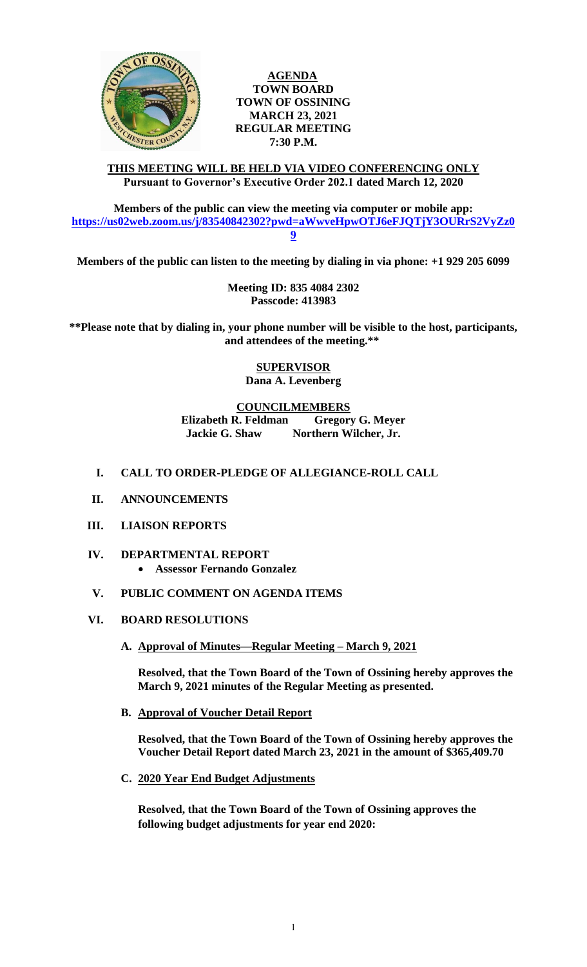

**AGENDA TOWN BOARD TOWN OF OSSINING MARCH 23, 2021 REGULAR MEETING 7:30 P.M.**

**THIS MEETING WILL BE HELD VIA VIDEO CONFERENCING ONLY Pursuant to Governor's Executive Order 202.1 dated March 12, 2020**

**Members of the public can view the meeting via computer or mobile app: [https://us02web.zoom.us/j/83540842302?pwd=aWwveHpwOTJ6eFJQTjY3OURrS2VyZz0](https://us02web.zoom.us/j/83540842302?pwd=aWwveHpwOTJ6eFJQTjY3OURrS2VyZz09) [9](https://us02web.zoom.us/j/83540842302?pwd=aWwveHpwOTJ6eFJQTjY3OURrS2VyZz09)**

**Members of the public can listen to the meeting by dialing in via phone: +1 929 205 6099** 

**Meeting ID: 835 4084 2302 Passcode: 413983**

**\*\*Please note that by dialing in, your phone number will be visible to the host, participants, and attendees of the meeting.\*\*** 

> **SUPERVISOR Dana A. Levenberg**

**COUNCILMEMBERS**

**Elizabeth R. Feldman Gregory G. Meyer Jackie G. Shaw Northern Wilcher, Jr.**

## **I. CALL TO ORDER-PLEDGE OF ALLEGIANCE-ROLL CALL**

- **II. ANNOUNCEMENTS**
- **III. LIAISON REPORTS**
- **IV. DEPARTMENTAL REPORT Assessor Fernando Gonzalez**
- **V. PUBLIC COMMENT ON AGENDA ITEMS**

#### **VI. BOARD RESOLUTIONS**

**A. Approval of Minutes—Regular Meeting – March 9, 2021**

**Resolved, that the Town Board of the Town of Ossining hereby approves the March 9, 2021 minutes of the Regular Meeting as presented.**

**B. Approval of Voucher Detail Report**

**Resolved, that the Town Board of the Town of Ossining hereby approves the Voucher Detail Report dated March 23, 2021 in the amount of \$365,409.70**

**C. 2020 Year End Budget Adjustments**

**Resolved, that the Town Board of the Town of Ossining approves the following budget adjustments for year end 2020:**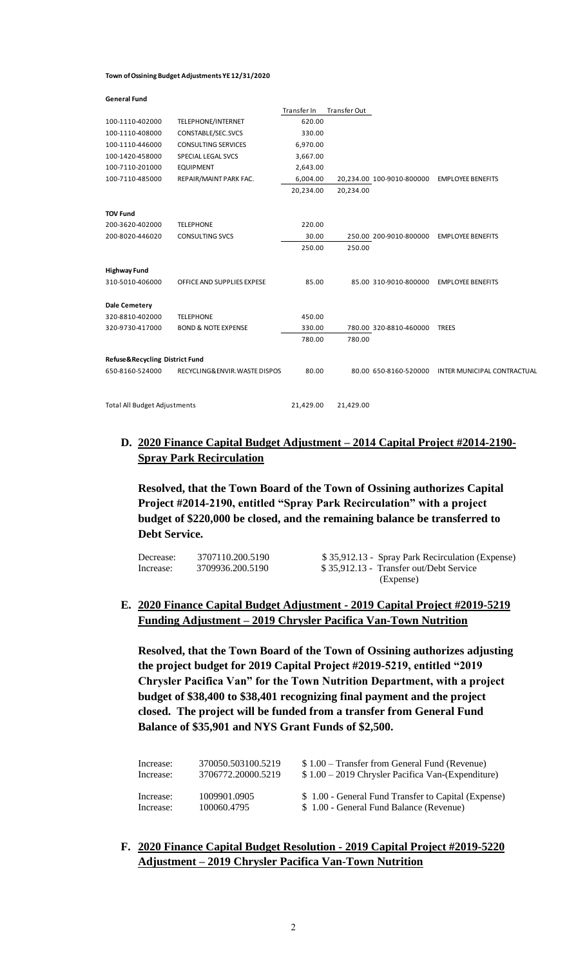#### **Town of Ossining Budget Adjustments YE 12/31/2020**

| <b>General Fund</b>                 |                                |             |              |                           |                                    |
|-------------------------------------|--------------------------------|-------------|--------------|---------------------------|------------------------------------|
|                                     |                                | Transfer In | Transfer Out |                           |                                    |
| 100-1110-402000                     | TELEPHONE/INTERNET             | 620.00      |              |                           |                                    |
| 100-1110-408000                     | CONSTABLE/SEC.SVCS             | 330.00      |              |                           |                                    |
| 100-1110-446000                     | <b>CONSULTING SERVICES</b>     | 6,970.00    |              |                           |                                    |
| 100-1420-458000                     | SPECIAL LEGAL SVCS             | 3,667.00    |              |                           |                                    |
| 100-7110-201000                     | <b>EQUIPMENT</b>               | 2,643.00    |              |                           |                                    |
| 100-7110-485000                     | REPAIR/MAINT PARK FAC.         | 6,004.00    |              | 20,234.00 100-9010-800000 | <b>EMPLOYEE BENEFITS</b>           |
|                                     |                                | 20,234.00   | 20,234.00    |                           |                                    |
| <b>TOV Fund</b>                     |                                |             |              |                           |                                    |
| 200-3620-402000                     | <b>TELEPHONE</b>               | 220.00      |              |                           |                                    |
| 200-8020-446020                     | <b>CONSULTING SVCS</b>         | 30.00       |              | 250.00 200-9010-800000    | <b>EMPLOYEE BENEFITS</b>           |
|                                     |                                | 250.00      | 250.00       |                           |                                    |
| <b>Highway Fund</b>                 |                                |             |              |                           |                                    |
| 310-5010-406000                     | OFFICE AND SUPPLIES EXPESE     | 85.00       |              | 85.00 310-9010-800000     | <b>EMPLOYEE BENEFITS</b>           |
| <b>Dale Cemetery</b>                |                                |             |              |                           |                                    |
| 320-8810-402000                     | <b>TELEPHONE</b>               | 450.00      |              |                           |                                    |
| 320-9730-417000                     | <b>BOND &amp; NOTE EXPENSE</b> | 330.00      |              | 780.00 320-8810-460000    | <b>TREES</b>                       |
|                                     |                                | 780.00      | 780.00       |                           |                                    |
| Refuse&Recycling District Fund      |                                |             |              |                           |                                    |
| 650-8160-524000                     | RECYCLING& ENVIR. WASTE DISPOS | 80.00       |              | 80.00 650-8160-520000     | <b>INTER MUNICIPAL CONTRACTUAL</b> |
|                                     |                                | 21,429.00   | 21,429.00    |                           |                                    |
| <b>Total All Budget Adjustments</b> |                                |             |              |                           |                                    |

## **D. 2020 Finance Capital Budget Adjustment – 2014 Capital Project #2014-2190- Spray Park Recirculation**

**Resolved, that the Town Board of the Town of Ossining authorizes Capital Project #2014-2190, entitled "Spray Park Recirculation" with a project budget of \$220,000 be closed, and the remaining balance be transferred to Debt Service.** 

| Decrease: | 3707110.200.5190 | \$35,912.13 - Spray Park Recirculation (Expense) |
|-----------|------------------|--------------------------------------------------|
| Increase: | 3709936.200.5190 | \$35,912.13 - Transfer out/Debt Service          |
|           |                  | (Expense)                                        |

# **E. 2020 Finance Capital Budget Adjustment - 2019 Capital Project #2019-5219 Funding Adjustment – 2019 Chrysler Pacifica Van-Town Nutrition**

**Resolved, that the Town Board of the Town of Ossining authorizes adjusting the project budget for 2019 Capital Project #2019-5219, entitled "2019 Chrysler Pacifica Van" for the Town Nutrition Department, with a project budget of \$38,400 to \$38,401 recognizing final payment and the project closed. The project will be funded from a transfer from General Fund Balance of \$35,901 and NYS Grant Funds of \$2,500.** 

| Increase: | 370050.503100.5219 | $$1.00$ – Transfer from General Fund (Revenue)      |
|-----------|--------------------|-----------------------------------------------------|
| Increase: | 3706772.20000.5219 | $$1.00 - 2019$ Chrysler Pacifica Van-(Expenditure)  |
| Increase: | 1009901.0905       | \$1.00 - General Fund Transfer to Capital (Expense) |
| Increase: | 100060.4795        | \$1.00 - General Fund Balance (Revenue)             |

**F. 2020 Finance Capital Budget Resolution - 2019 Capital Project #2019-5220 Adjustment – 2019 Chrysler Pacifica Van-Town Nutrition**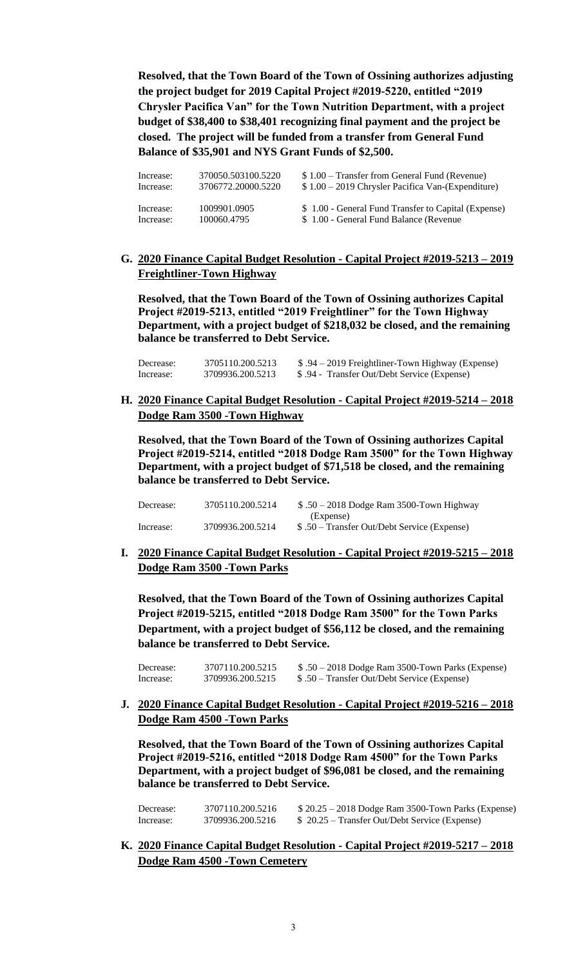**Resolved, that the Town Board of the Town of Ossining authorizes adjusting the project budget for 2019 Capital Project #2019-5220, entitled "2019 Chrysler Pacifica Van" for the Town Nutrition Department, with a project budget of \$38,400 to \$38,401 recognizing final payment and the project be closed. The project will be funded from a transfer from General Fund Balance of \$35,901 and NYS Grant Funds of \$2,500.** 

| Increase: | 370050.503100.5220 | \$1.00 – Transfer from General Fund (Revenue)       |
|-----------|--------------------|-----------------------------------------------------|
| Increase: | 3706772.20000.5220 | $$1.00 - 2019$ Chrysler Pacifica Van-(Expenditure)  |
| Increase: | 1009901.0905       | \$1.00 - General Fund Transfer to Capital (Expense) |
| Increase: | 100060.4795        | \$1.00 - General Fund Balance (Revenue)             |

# **G. 2020 Finance Capital Budget Resolution - Capital Project #2019-5213 – 2019 Freightliner-Town Highway**

**Resolved, that the Town Board of the Town of Ossining authorizes Capital Project #2019-5213, entitled "2019 Freightliner" for the Town Highway Department, with a project budget of \$218,032 be closed, and the remaining balance be transferred to Debt Service.**

| Decrease: | 3705110.200.5213 | \$.94 – 2019 Freightliner-Town Highway (Expense) |
|-----------|------------------|--------------------------------------------------|
| Increase: | 3709936.200.5213 | \$ .94 - Transfer Out/Debt Service (Expense)     |

## **H. 2020 Finance Capital Budget Resolution - Capital Project #2019-5214 – 2018 Dodge Ram 3500 -Town Highway**

**Resolved, that the Town Board of the Town of Ossining authorizes Capital Project #2019-5214, entitled "2018 Dodge Ram 3500" for the Town Highway Department, with a project budget of \$71,518 be closed, and the remaining balance be transferred to Debt Service.**

| Decrease: | 3705110.200.5214 | $$.50 - 2018$ Dodge Ram 3500-Town Highway    |
|-----------|------------------|----------------------------------------------|
|           |                  | (Expense)                                    |
| Increase: | 3709936.200.5214 | $$.50$ – Transfer Out/Debt Service (Expense) |

**I. 2020 Finance Capital Budget Resolution - Capital Project #2019-5215 – 2018 Dodge Ram 3500 -Town Parks**

**Resolved, that the Town Board of the Town of Ossining authorizes Capital Project #2019-5215, entitled "2018 Dodge Ram 3500" for the Town Parks Department, with a project budget of \$56,112 be closed, and the remaining balance be transferred to Debt Service.**

Decrease: 3707110.200.5215 \$ .50 – 2018 Dodge Ram 3500-Town Parks (Expense) Increase: 3709936.200.5215 \$ .50 – Transfer Out/Debt Service (Expense)

**J. 2020 Finance Capital Budget Resolution - Capital Project #2019-5216 – 2018 Dodge Ram 4500 -Town Parks**

**Resolved, that the Town Board of the Town of Ossining authorizes Capital Project #2019-5216, entitled "2018 Dodge Ram 4500" for the Town Parks Department, with a project budget of \$96,081 be closed, and the remaining balance be transferred to Debt Service.**

| Decrease: | 3707110.200.5216 | $$20.25 - 2018$ Dodge Ram 3500-Town Parks (Expense) |
|-----------|------------------|-----------------------------------------------------|
| Increase: | 3709936.200.5216 | $$20.25$ – Transfer Out/Debt Service (Expense)      |

**K. 2020 Finance Capital Budget Resolution - Capital Project #2019-5217 – 2018 Dodge Ram 4500 -Town Cemetery**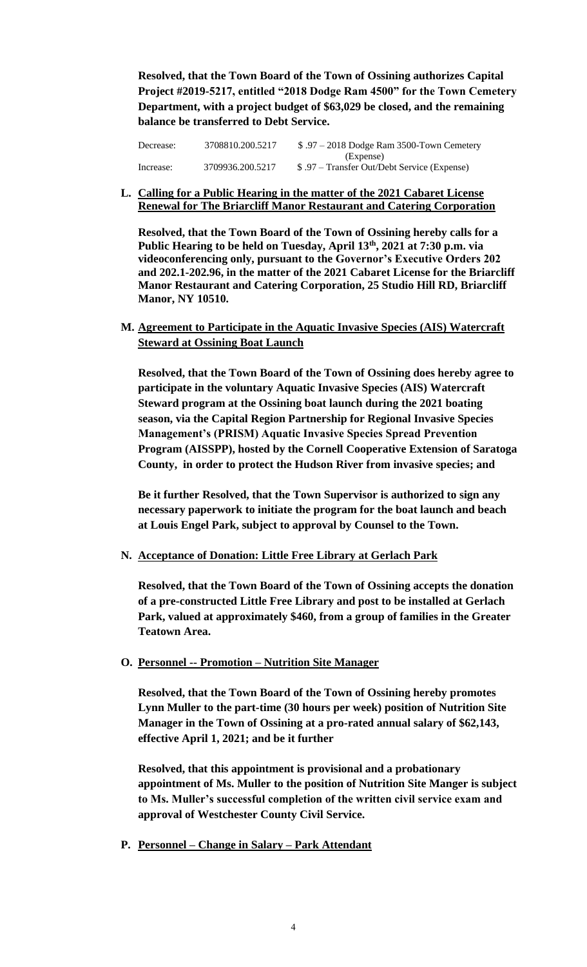**Resolved, that the Town Board of the Town of Ossining authorizes Capital Project #2019-5217, entitled "2018 Dodge Ram 4500" for the Town Cemetery Department, with a project budget of \$63,029 be closed, and the remaining balance be transferred to Debt Service.** 

| Decrease: | 3708810.200.5217 | $$.97 - 2018$ Dodge Ram 3500-Town Cemetery   |
|-----------|------------------|----------------------------------------------|
|           |                  | (Expense)                                    |
| Increase: | 3709936.200.5217 | \$ .97 – Transfer Out/Debt Service (Expense) |

**L. Calling for a Public Hearing in the matter of the 2021 Cabaret License Renewal for The Briarcliff Manor Restaurant and Catering Corporation**

**Resolved, that the Town Board of the Town of Ossining hereby calls for a Public Hearing to be held on Tuesday, April 13th, 2021 at 7:30 p.m. via videoconferencing only, pursuant to the Governor's Executive Orders 202 and 202.1-202.96, in the matter of the 2021 Cabaret License for the Briarcliff Manor Restaurant and Catering Corporation, 25 Studio Hill RD, Briarcliff Manor, NY 10510.**

**M. Agreement to Participate in the Aquatic Invasive Species (AIS) Watercraft Steward at Ossining Boat Launch**

**Resolved, that the Town Board of the Town of Ossining does hereby agree to participate in the voluntary Aquatic Invasive Species (AIS) Watercraft Steward program at the Ossining boat launch during the 2021 boating season, via the Capital Region Partnership for Regional Invasive Species Management's (PRISM) Aquatic Invasive Species Spread Prevention Program (AISSPP), hosted by the Cornell Cooperative Extension of Saratoga County, in order to protect the Hudson River from invasive species; and**

**Be it further Resolved, that the Town Supervisor is authorized to sign any necessary paperwork to initiate the program for the boat launch and beach at Louis Engel Park, subject to approval by Counsel to the Town.**

**N. Acceptance of Donation: Little Free Library at Gerlach Park**

**Resolved, that the Town Board of the Town of Ossining accepts the donation of a pre-constructed Little Free Library and post to be installed at Gerlach Park, valued at approximately \$460, from a group of families in the Greater Teatown Area.** 

**O. Personnel -- Promotion – Nutrition Site Manager**

**Resolved, that the Town Board of the Town of Ossining hereby promotes Lynn Muller to the part-time (30 hours per week) position of Nutrition Site Manager in the Town of Ossining at a pro-rated annual salary of \$62,143, effective April 1, 2021; and be it further** 

**Resolved, that this appointment is provisional and a probationary appointment of Ms. Muller to the position of Nutrition Site Manger is subject to Ms. Muller's successful completion of the written civil service exam and approval of Westchester County Civil Service.** 

**P. Personnel – Change in Salary – Park Attendant**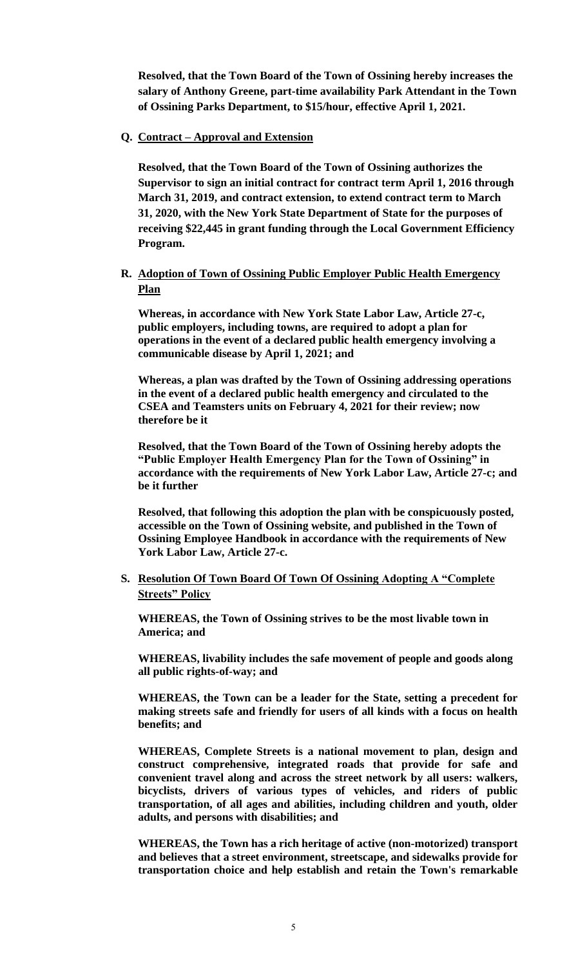**Resolved, that the Town Board of the Town of Ossining hereby increases the salary of Anthony Greene, part-time availability Park Attendant in the Town of Ossining Parks Department, to \$15/hour, effective April 1, 2021.** 

#### **Q. Contract – Approval and Extension**

**Resolved, that the Town Board of the Town of Ossining authorizes the Supervisor to sign an initial contract for contract term April 1, 2016 through March 31, 2019, and contract extension, to extend contract term to March 31, 2020, with the New York State Department of State for the purposes of receiving \$22,445 in grant funding through the Local Government Efficiency Program.**

### **R. Adoption of Town of Ossining Public Employer Public Health Emergency Plan**

**Whereas, in accordance with New York State Labor Law, Article 27-c, public employers, including towns, are required to adopt a plan for operations in the event of a declared public health emergency involving a communicable disease by April 1, 2021; and**

**Whereas, a plan was drafted by the Town of Ossining addressing operations in the event of a declared public health emergency and circulated to the CSEA and Teamsters units on February 4, 2021 for their review; now therefore be it** 

**Resolved, that the Town Board of the Town of Ossining hereby adopts the "Public Employer Health Emergency Plan for the Town of Ossining" in accordance with the requirements of New York Labor Law, Article 27-c; and be it further**

**Resolved, that following this adoption the plan with be conspicuously posted, accessible on the Town of Ossining website, and published in the Town of Ossining Employee Handbook in accordance with the requirements of New York Labor Law, Article 27-c.**

## **S. Resolution Of Town Board Of Town Of Ossining Adopting A "Complete Streets" Policy**

**WHEREAS, the Town of Ossining strives to be the most livable town in America; and**

**WHEREAS, livability includes the safe movement of people and goods along all public rights-of-way; and**

**WHEREAS, the Town can be a leader for the State, setting a precedent for making streets safe and friendly for users of all kinds with a focus on health benefits; and**

**WHEREAS, Complete Streets is a national movement to plan, design and construct comprehensive, integrated roads that provide for safe and convenient travel along and across the street network by all users: walkers, bicyclists, drivers of various types of vehicles, and riders of public transportation, of all ages and abilities, including children and youth, older adults, and persons with disabilities; and**

**WHEREAS, the Town has a rich heritage of active (non-motorized) transport and believes that a street environment, streetscape, and sidewalks provide for transportation choice and help establish and retain the Town's remarkable**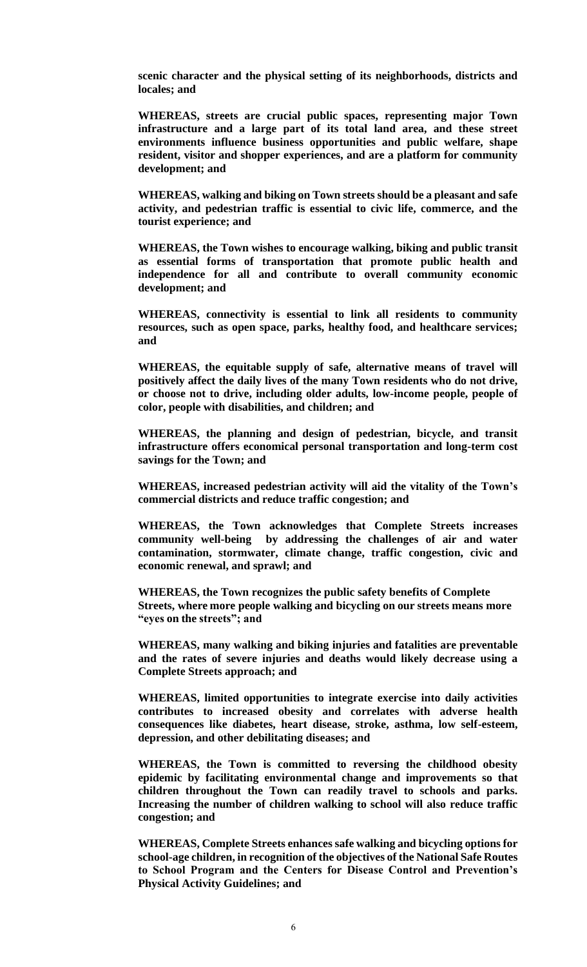**scenic character and the physical setting of its neighborhoods, districts and locales; and**

**WHEREAS, streets are crucial public spaces, representing major Town infrastructure and a large part of its total land area, and these street environments influence business opportunities and public welfare, shape resident, visitor and shopper experiences, and are a platform for community development; and**

**WHEREAS, walking and biking on Town streets should be a pleasant and safe activity, and pedestrian traffic is essential to civic life, commerce, and the tourist experience; and**

**WHEREAS, the Town wishes to encourage walking, biking and public transit as essential forms of transportation that promote public health and independence for all and contribute to overall community economic development; and**

**WHEREAS, connectivity is essential to link all residents to community resources, such as open space, parks, healthy food, and healthcare services; and**

**WHEREAS, the equitable supply of safe, alternative means of travel will positively affect the daily lives of the many Town residents who do not drive, or choose not to drive, including older adults, low-income people, people of color, people with disabilities, and children; and**

**WHEREAS, the planning and design of pedestrian, bicycle, and transit infrastructure offers economical personal transportation and long-term cost savings for the Town; and**

**WHEREAS, increased pedestrian activity will aid the vitality of the Town's commercial districts and reduce traffic congestion; and**

**WHEREAS, the Town acknowledges that Complete Streets increases community well-being by addressing the challenges of air and water contamination, stormwater, climate change, traffic congestion, civic and economic renewal, and sprawl; and**

**WHEREAS, the Town recognizes the public safety benefits of Complete Streets, where more people walking and bicycling on our streets means more "eyes on the streets"; and**

**WHEREAS, many walking and biking injuries and fatalities are preventable and the rates of severe injuries and deaths would likely decrease using a Complete Streets approach; and**

**WHEREAS, limited opportunities to integrate exercise into daily activities contributes to increased obesity and correlates with adverse health consequences like diabetes, heart disease, stroke, asthma, low self-esteem, depression, and other debilitating diseases; and**

**WHEREAS, the Town is committed to reversing the childhood obesity epidemic by facilitating environmental change and improvements so that children throughout the Town can readily travel to schools and parks. Increasing the number of children walking to school will also reduce traffic congestion; and**

**WHEREAS, Complete Streets enhances safe walking and bicycling options for school-age children, in recognition of the objectives of the National Safe Routes to School Program and the Centers for Disease Control and Prevention's Physical Activity Guidelines; and**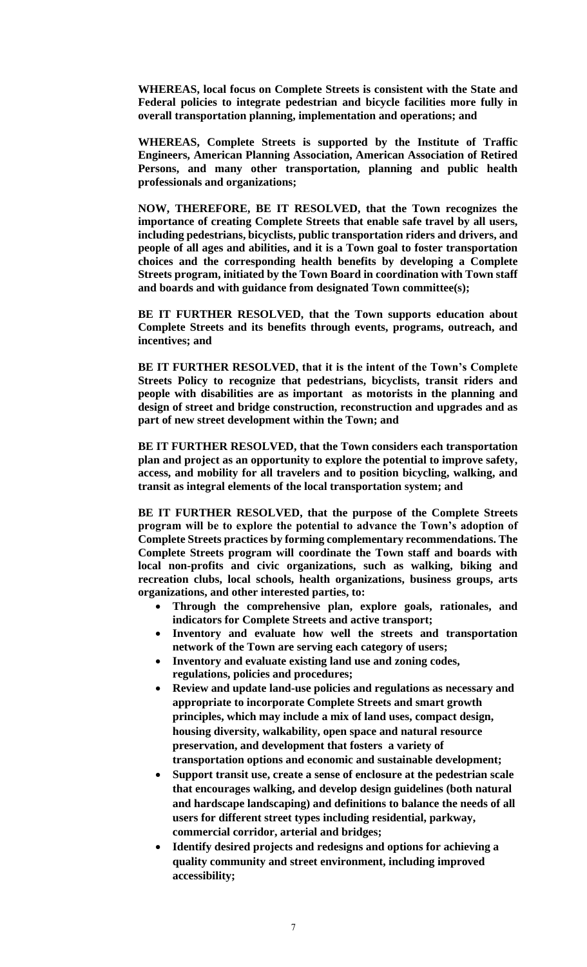**WHEREAS, local focus on Complete Streets is consistent with the State and Federal policies to integrate pedestrian and bicycle facilities more fully in overall transportation planning, implementation and operations; and**

**WHEREAS, Complete Streets is supported by the Institute of Traffic Engineers, American Planning Association, American Association of Retired Persons, and many other transportation, planning and public health professionals and organizations;** 

**NOW, THEREFORE, BE IT RESOLVED, that the Town recognizes the importance of creating Complete Streets that enable safe travel by all users, including pedestrians, bicyclists, public transportation riders and drivers, and people of all ages and abilities, and it is a Town goal to foster transportation choices and the corresponding health benefits by developing a Complete Streets program, initiated by the Town Board in coordination with Town staff and boards and with guidance from designated Town committee(s);**

**BE IT FURTHER RESOLVED, that the Town supports education about Complete Streets and its benefits through events, programs, outreach, and incentives; and**

**BE IT FURTHER RESOLVED, that it is the intent of the Town's Complete Streets Policy to recognize that pedestrians, bicyclists, transit riders and people with disabilities are as important as motorists in the planning and design of street and bridge construction, reconstruction and upgrades and as part of new street development within the Town; and**

**BE IT FURTHER RESOLVED, that the Town considers each transportation plan and project as an opportunity to explore the potential to improve safety, access, and mobility for all travelers and to position bicycling, walking, and transit as integral elements of the local transportation system; and**

**BE IT FURTHER RESOLVED, that the purpose of the Complete Streets program will be to explore the potential to advance the Town's adoption of Complete Streets practices by forming complementary recommendations. The Complete Streets program will coordinate the Town staff and boards with local non-profits and civic organizations, such as walking, biking and recreation clubs, local schools, health organizations, business groups, arts organizations, and other interested parties, to:**

- **Through the comprehensive plan, explore goals, rationales, and indicators for Complete Streets and active transport;**
- **Inventory and evaluate how well the streets and transportation network of the Town are serving each category of users;**
- **Inventory and evaluate existing land use and zoning codes, regulations, policies and procedures;**
- **Review and update land-use policies and regulations as necessary and appropriate to incorporate Complete Streets and smart growth principles, which may include a mix of land uses, compact design, housing diversity, walkability, open space and natural resource preservation, and development that fosters a variety of transportation options and economic and sustainable development;**
- **Support transit use, create a sense of enclosure at the pedestrian scale that encourages walking, and develop design guidelines (both natural and hardscape landscaping) and definitions to balance the needs of all users for different street types including residential, parkway, commercial corridor, arterial and bridges;**
- **Identify desired projects and redesigns and options for achieving a quality community and street environment, including improved accessibility;**